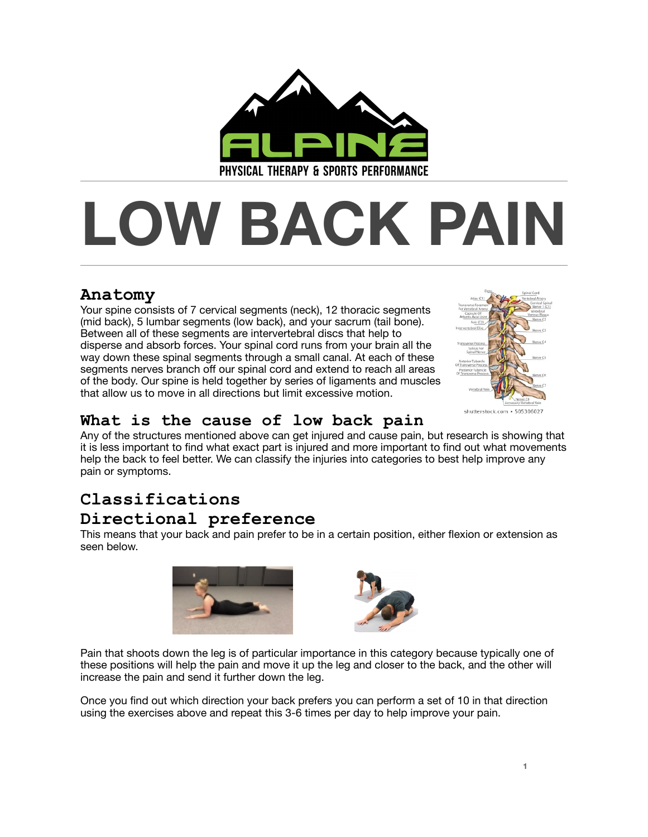

# **LOW BACK PAIN**

## **Anatomy**

Your spine consists of 7 cervical segments (neck), 12 thoracic segments (mid back), 5 lumbar segments (low back), and your sacrum (tail bone). Between all of these segments are intervertebral discs that help to disperse and absorb forces. Your spinal cord runs from your brain all the way down these spinal segments through a small canal. At each of these segments nerves branch off our spinal cord and extend to reach all areas of the body. Our spine is held together by series of ligaments and muscles that allow us to move in all directions but limit excessive motion.



#### **What is the cause of low back pain**

Any of the structures mentioned above can get injured and cause pain, but research is showing that it is less important to find what exact part is injured and more important to find out what movements help the back to feel better. We can classify the injuries into categories to best help improve any pain or symptoms.

# **Classifications**

# **Directional preference**

This means that your back and pain prefer to be in a certain position, either flexion or extension as seen below.





Pain that shoots down the leg is of particular importance in this category because typically one of these positions will help the pain and move it up the leg and closer to the back, and the other will increase the pain and send it further down the leg.

Once you find out which direction your back prefers you can perform a set of 10 in that direction using the exercises above and repeat this 3-6 times per day to help improve your pain.